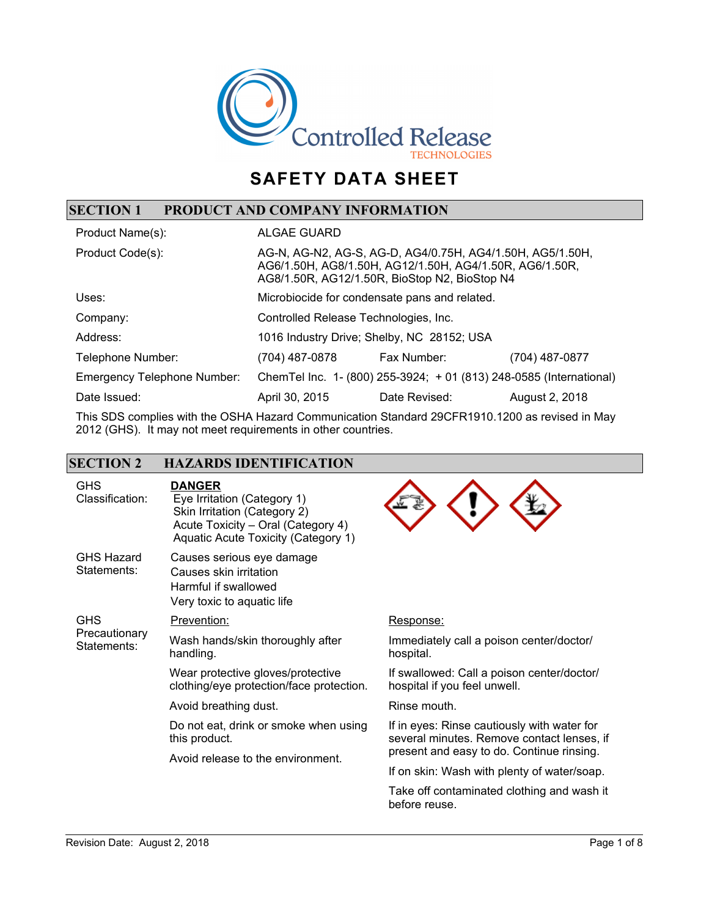

# **SAFETY DATA SHEET**

## **SECTION 1 PRODUCT AND COMPANY INFORMATION**

| Product Name(s):                   | <b>ALGAE GUARD</b>                                                                                                                                                    |                                                                     |                |
|------------------------------------|-----------------------------------------------------------------------------------------------------------------------------------------------------------------------|---------------------------------------------------------------------|----------------|
| Product Code(s):                   | AG-N, AG-N2, AG-S, AG-D, AG4/0.75H, AG4/1.50H, AG5/1.50H,<br>AG6/1.50H, AG8/1.50H, AG12/1.50H, AG4/1.50R, AG6/1.50R,<br>AG8/1.50R, AG12/1.50R, BioStop N2, BioStop N4 |                                                                     |                |
| Uses:                              | Microbiocide for condensate pans and related.                                                                                                                         |                                                                     |                |
| Company:                           | Controlled Release Technologies, Inc.                                                                                                                                 |                                                                     |                |
| Address:                           | 1016 Industry Drive; Shelby, NC 28152; USA                                                                                                                            |                                                                     |                |
| Telephone Number:                  | (704) 487-0878                                                                                                                                                        | Fax Number:                                                         | (704) 487-0877 |
| <b>Emergency Telephone Number:</b> |                                                                                                                                                                       | ChemTel Inc. 1- (800) 255-3924; + 01 (813) 248-0585 (International) |                |
| Date Issued:                       | April 30, 2015                                                                                                                                                        | Date Revised:                                                       | August 2, 2018 |

This SDS complies with the OSHA Hazard Communication Standard 29CFR1910.1200 as revised in May 2012 (GHS). It may not meet requirements in other countries.

| <b>SECTION 2</b>                           | <b>HAZARDS IDENTIFICATION</b>                                                                                                                             |                                                                                           |
|--------------------------------------------|-----------------------------------------------------------------------------------------------------------------------------------------------------------|-------------------------------------------------------------------------------------------|
| <b>GHS</b><br>Classification:              | <b>DANGER</b><br>Eye Irritation (Category 1)<br>Skin Irritation (Category 2)<br>Acute Toxicity - Oral (Category 4)<br>Aquatic Acute Toxicity (Category 1) |                                                                                           |
| <b>GHS Hazard</b><br>Statements:           | Causes serious eye damage<br>Causes skin irritation<br>Harmful if swallowed<br>Very toxic to aquatic life                                                 |                                                                                           |
| <b>GHS</b><br>Precautionary<br>Statements: | Prevention:                                                                                                                                               | Response:                                                                                 |
|                                            | Wash hands/skin thoroughly after<br>handling.                                                                                                             | Immediately call a poison center/doctor/<br>hospital.                                     |
|                                            | Wear protective gloves/protective<br>clothing/eye protection/face protection.                                                                             | If swallowed: Call a poison center/doctor/<br>hospital if you feel unwell.                |
|                                            | Avoid breathing dust.                                                                                                                                     | Rinse mouth.                                                                              |
|                                            | Do not eat, drink or smoke when using<br>this product.                                                                                                    | If in eyes: Rinse cautiously with water for<br>several minutes. Remove contact lenses, if |
|                                            | Avoid release to the environment.                                                                                                                         | present and easy to do. Continue rinsing.                                                 |
|                                            |                                                                                                                                                           | If on skin: Wash with plenty of water/soap.                                               |
|                                            |                                                                                                                                                           | Take off contaminated clothing and wash it<br>before reuse.                               |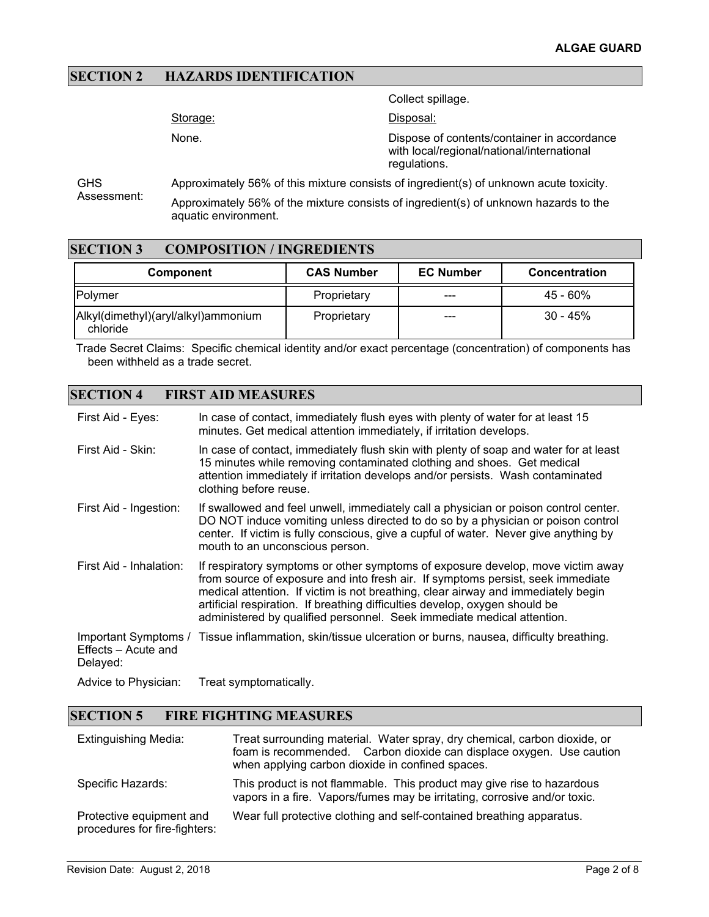### **SECTION 2 HAZARDS IDENTIFICATION**

Collect spillage.

Storage:

None.

Disposal:

Dispose of contents/container in accordance with local/regional/national/international regulations.

**GHS** Assessment: Approximately 56% of this mixture consists of ingredient(s) of unknown acute toxicity.

Approximately 56% of the mixture consists of ingredient(s) of unknown hazards to the aquatic environment.

### **SECTION 3 COMPOSITION / INGREDIENTS**

| <b>Component</b>                                | <b>CAS Number</b> | <b>EC Number</b> | <b>Concentration</b> |
|-------------------------------------------------|-------------------|------------------|----------------------|
| <b>IPolvmer</b>                                 | Proprietary       | ---              | $45 - 60\%$          |
| Alkyl(dimethyl)(aryl/alkyl)ammonium<br>chloride | Proprietary       | ---              | $30 - 45%$           |

Trade Secret Claims: Specific chemical identity and/or exact percentage (concentration) of components has been withheld as a trade secret.

### **SECTION 4 FIRST AID MEASURES**

| First Aid - Eyes:               | In case of contact, immediately flush eyes with plenty of water for at least 15<br>minutes. Get medical attention immediately, if irritation develops.                                                                                                                                                                                                                                                           |
|---------------------------------|------------------------------------------------------------------------------------------------------------------------------------------------------------------------------------------------------------------------------------------------------------------------------------------------------------------------------------------------------------------------------------------------------------------|
| First Aid - Skin:               | In case of contact, immediately flush skin with plenty of soap and water for at least<br>15 minutes while removing contaminated clothing and shoes. Get medical<br>attention immediately if irritation develops and/or persists. Wash contaminated<br>clothing before reuse.                                                                                                                                     |
| First Aid - Ingestion:          | If swallowed and feel unwell, immediately call a physician or poison control center.<br>DO NOT induce vomiting unless directed to do so by a physician or poison control<br>center. If victim is fully conscious, give a cupful of water. Never give anything by<br>mouth to an unconscious person.                                                                                                              |
| First Aid - Inhalation:         | If respiratory symptoms or other symptoms of exposure develop, move victim away<br>from source of exposure and into fresh air. If symptoms persist, seek immediate<br>medical attention. If victim is not breathing, clear airway and immediately begin<br>artificial respiration. If breathing difficulties develop, oxygen should be<br>administered by qualified personnel. Seek immediate medical attention. |
| Effects – Acute and<br>Delayed: | Important Symptoms / Tissue inflammation, skin/tissue ulceration or burns, nausea, difficulty breathing.                                                                                                                                                                                                                                                                                                         |
| Advice to Physician:            | Treat symptomatically.                                                                                                                                                                                                                                                                                                                                                                                           |

#### **SECTION 5 FIRE FIGHTING MEASURES**

| <b>Extinguishing Media:</b>                               | Treat surrounding material. Water spray, dry chemical, carbon dioxide, or<br>foam is recommended. Carbon dioxide can displace oxygen. Use caution<br>when applying carbon dioxide in confined spaces. |
|-----------------------------------------------------------|-------------------------------------------------------------------------------------------------------------------------------------------------------------------------------------------------------|
| Specific Hazards:                                         | This product is not flammable. This product may give rise to hazardous<br>vapors in a fire. Vapors/fumes may be irritating, corrosive and/or toxic.                                                   |
| Protective equipment and<br>procedures for fire-fighters: | Wear full protective clothing and self-contained breathing apparatus.                                                                                                                                 |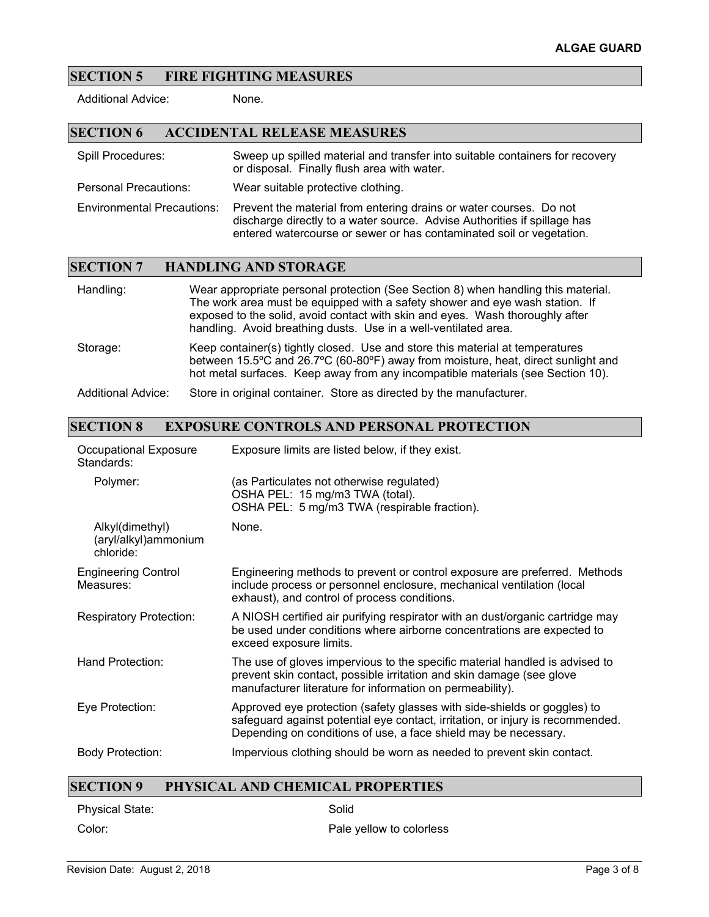#### **SECTION 5 FIRE FIGHTING MEASURES**

Additional Advice: None.

#### **SECTION 6 ACCIDENTAL RELEASE MEASURES**

Spill Procedures: Sweep up spilled material and transfer into suitable containers for recovery or disposal. Finally flush area with water.

Personal Precautions: Wear suitable protective clothing.

Environmental Precautions: Prevent the material from entering drains or water courses. Do not discharge directly to a water source. Advise Authorities if spillage has entered watercourse or sewer or has contaminated soil or vegetation.

#### **SECTION 7 HANDLING AND STORAGE**

| Handling:                 | Wear appropriate personal protection (See Section 8) when handling this material.<br>The work area must be equipped with a safety shower and eye wash station. If<br>exposed to the solid, avoid contact with skin and eyes. Wash thoroughly after<br>handling. Avoid breathing dusts. Use in a well-ventilated area. |
|---------------------------|-----------------------------------------------------------------------------------------------------------------------------------------------------------------------------------------------------------------------------------------------------------------------------------------------------------------------|
| Storage:                  | Keep container(s) tightly closed. Use and store this material at temperatures<br>between 15.5°C and 26.7°C (60-80°F) away from moisture, heat, direct sunlight and<br>hot metal surfaces. Keep away from any incompatible materials (see Section 10).                                                                 |
| <b>Additional Advice:</b> | Store in original container. Store as directed by the manufacturer.                                                                                                                                                                                                                                                   |

### **SECTION 8 EXPOSURE CONTROLS AND PERSONAL PROTECTION**

| Occupational Exposure<br>Standards:                  | Exposure limits are listed below, if they exist.                                                                                                                                                                              |
|------------------------------------------------------|-------------------------------------------------------------------------------------------------------------------------------------------------------------------------------------------------------------------------------|
| Polymer:                                             | (as Particulates not otherwise regulated)<br>OSHA PEL: 15 mg/m3 TWA (total).<br>OSHA PEL: 5 mg/m3 TWA (respirable fraction).                                                                                                  |
| Alkyl(dimethyl)<br>(aryl/alkyl)ammonium<br>chloride: | None.                                                                                                                                                                                                                         |
| <b>Engineering Control</b><br>Measures:              | Engineering methods to prevent or control exposure are preferred. Methods<br>include process or personnel enclosure, mechanical ventilation (local<br>exhaust), and control of process conditions.                            |
| <b>Respiratory Protection:</b>                       | A NIOSH certified air purifying respirator with an dust/organic cartridge may<br>be used under conditions where airborne concentrations are expected to<br>exceed exposure limits.                                            |
| Hand Protection:                                     | The use of gloves impervious to the specific material handled is advised to<br>prevent skin contact, possible irritation and skin damage (see glove<br>manufacturer literature for information on permeability).              |
| Eye Protection:                                      | Approved eye protection (safety glasses with side-shields or goggles) to<br>safeguard against potential eye contact, irritation, or injury is recommended.<br>Depending on conditions of use, a face shield may be necessary. |
| <b>Body Protection:</b>                              | Impervious clothing should be worn as needed to prevent skin contact.                                                                                                                                                         |

#### **SECTION 9 PHYSICAL AND CHEMICAL PROPERTIES**

Physical State: Solid

Color: Color: Pale yellow to colorless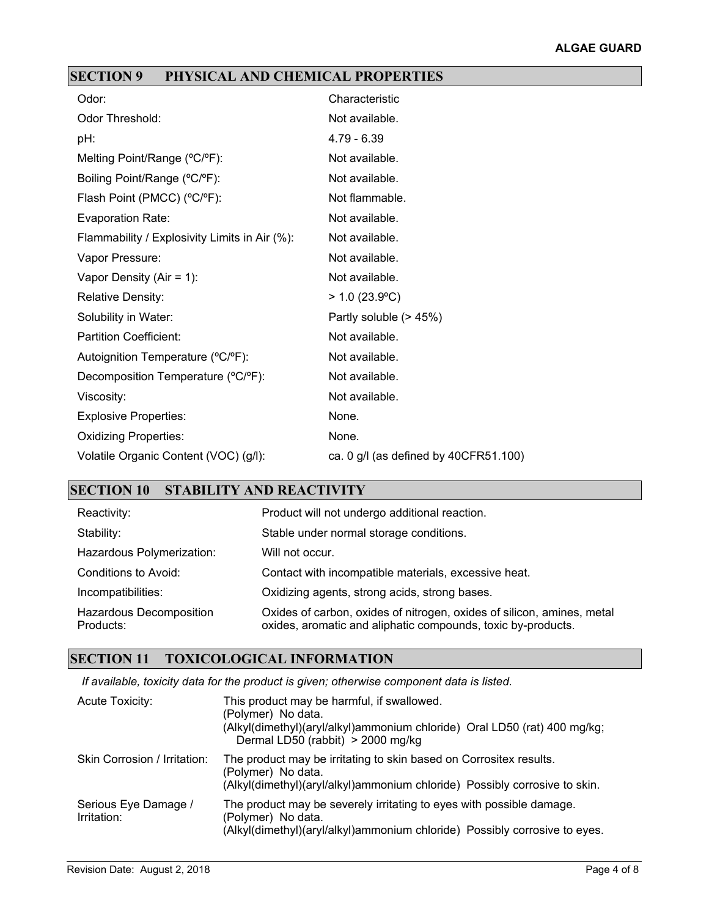# **SECTION 9 PHYSICAL AND CHEMICAL PROPERTIES**

| Odor:                                         | Characteristic                          |
|-----------------------------------------------|-----------------------------------------|
| <b>Odor Threshold:</b>                        | Not available.                          |
| pH:                                           | $4.79 - 6.39$                           |
| Melting Point/Range (°C/°F):                  | Not available.                          |
| Boiling Point/Range (°C/°F):                  | Not available.                          |
| Flash Point (PMCC) (°C/°F):                   | Not flammable.                          |
| Evaporation Rate:                             | Not available.                          |
| Flammability / Explosivity Limits in Air (%): | Not available.                          |
| Vapor Pressure:                               | Not available.                          |
| Vapor Density (Air = $1$ ):                   | Not available.                          |
| <b>Relative Density:</b>                      | $> 1.0$ (23.9°C)                        |
| Solubility in Water:                          | Partly soluble (> 45%)                  |
| <b>Partition Coefficient:</b>                 | Not available.                          |
| Autoignition Temperature (°C/°F):             | Not available.                          |
| Decomposition Temperature (°C/°F):            | Not available.                          |
| Viscosity:                                    | Not available.                          |
| <b>Explosive Properties:</b>                  | None.                                   |
| <b>Oxidizing Properties:</b>                  | None.                                   |
| Volatile Organic Content (VOC) (g/l):         | ca. $0$ g/l (as defined by 40CFR51.100) |

# **SECTION 10 STABILITY AND REACTIVITY**

| Reactivity:                                 | Product will not undergo additional reaction.                                                                                          |
|---------------------------------------------|----------------------------------------------------------------------------------------------------------------------------------------|
| Stability:                                  | Stable under normal storage conditions.                                                                                                |
| Hazardous Polymerization:                   | Will not occur.                                                                                                                        |
| Conditions to Avoid:                        | Contact with incompatible materials, excessive heat.                                                                                   |
| Incompatibilities:                          | Oxidizing agents, strong acids, strong bases.                                                                                          |
| <b>Hazardous Decomposition</b><br>Products: | Oxides of carbon, oxides of nitrogen, oxides of silicon, amines, metal<br>oxides, aromatic and aliphatic compounds, toxic by-products. |

### **SECTION 11 TOXICOLOGICAL INFORMATION**

*If available, toxicity data for the product is given; otherwise component data is listed.*

| Acute Toxicity:                     | This product may be harmful, if swallowed.<br>(Polymer) No data.<br>(Alkyl(dimethyl)(aryl/alkyl)ammonium chloride) Oral LD50 (rat) 400 mg/kg;<br>Dermal LD50 (rabbit) > 2000 mg/kg |
|-------------------------------------|------------------------------------------------------------------------------------------------------------------------------------------------------------------------------------|
| Skin Corrosion / Irritation:        | The product may be irritating to skin based on Corrositex results.<br>(Polymer) No data.<br>(Alkyl(dimethyl)(aryl/alkyl)ammonium chloride) Possibly corrosive to skin.             |
| Serious Eye Damage /<br>Irritation: | The product may be severely irritating to eyes with possible damage.<br>(Polymer) No data.<br>(Alkyl(dimethyl)(aryl/alkyl)ammonium chloride) Possibly corrosive to eyes.           |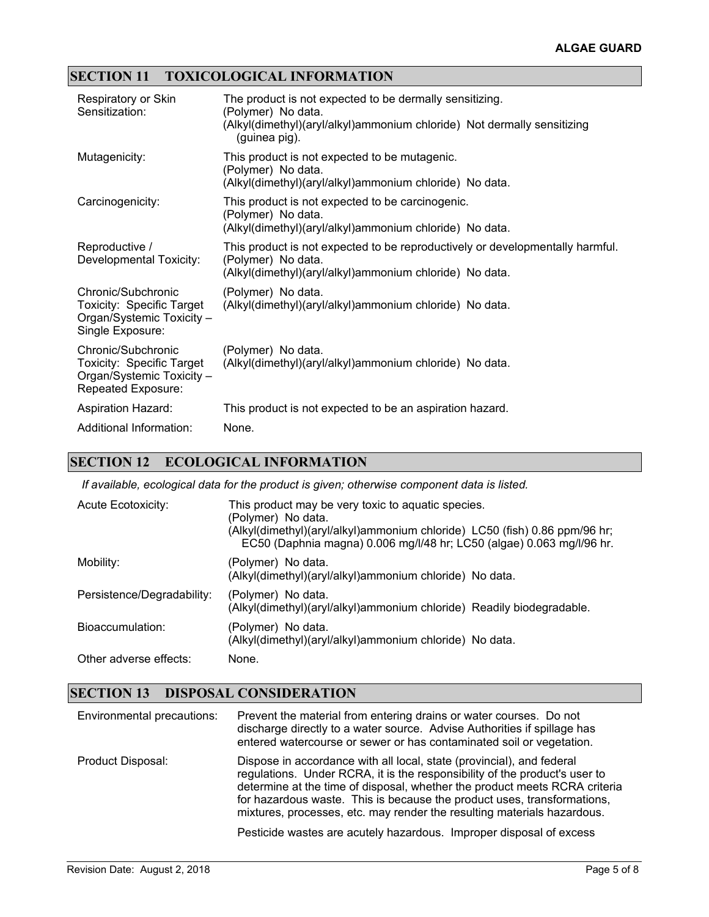## **SECTION 11 TOXICOLOGICAL INFORMATION**

| Respiratory or Skin<br>Sensitization:                                                                     | The product is not expected to be dermally sensitizing.<br>(Polymer) No data.<br>(Alkyl(dimethyl)(aryl/alkyl)ammonium chloride) Not dermally sensitizing<br>(guinea pig). |
|-----------------------------------------------------------------------------------------------------------|---------------------------------------------------------------------------------------------------------------------------------------------------------------------------|
| Mutagenicity:                                                                                             | This product is not expected to be mutagenic.<br>(Polymer) No data.<br>(Alkyl(dimethyl)(aryl/alkyl)ammonium chloride) No data.                                            |
| Carcinogenicity:                                                                                          | This product is not expected to be carcinogenic.<br>(Polymer) No data.<br>(Alkyl(dimethyl)(aryl/alkyl)ammonium chloride) No data.                                         |
| Reproductive /<br>Developmental Toxicity:                                                                 | This product is not expected to be reproductively or developmentally harmful.<br>(Polymer) No data.<br>(Alkyl(dimethyl)(aryl/alkyl)ammonium chloride) No data.            |
| Chronic/Subchronic<br>Toxicity: Specific Target<br>Organ/Systemic Toxicity -<br>Single Exposure:          | (Polymer) No data.<br>(Alkyl(dimethyl)(aryl/alkyl)ammonium chloride) No data.                                                                                             |
| Chronic/Subchronic<br><b>Toxicity: Specific Target</b><br>Organ/Systemic Toxicity -<br>Repeated Exposure: | (Polymer) No data.<br>(Alkyl(dimethyl)(aryl/alkyl)ammonium chloride) No data.                                                                                             |
| <b>Aspiration Hazard:</b>                                                                                 | This product is not expected to be an aspiration hazard.                                                                                                                  |
| Additional Information:                                                                                   | None.                                                                                                                                                                     |

# **SECTION 12 ECOLOGICAL INFORMATION**

*If available, ecological data for the product is given; otherwise component data is listed.*

| Acute Ecotoxicity:         | This product may be very toxic to aquatic species.<br>(Polymer) No data.<br>(Alkyl(dimethyl)(aryl/alkyl)ammonium chloride) LC50 (fish) 0.86 ppm/96 hr;<br>EC50 (Daphnia magna) 0.006 mg/l/48 hr; LC50 (algae) 0.063 mg/l/96 hr. |
|----------------------------|---------------------------------------------------------------------------------------------------------------------------------------------------------------------------------------------------------------------------------|
| Mobility:                  | (Polymer) No data.<br>(Alkyl(dimethyl)(aryl/alkyl)ammonium chloride) No data.                                                                                                                                                   |
| Persistence/Degradability: | (Polymer) No data.<br>(Alkyl(dimethyl)(aryl/alkyl)ammonium chloride) Readily biodegradable.                                                                                                                                     |
| Bioaccumulation:           | (Polymer) No data.<br>(Alkyl(dimethyl)(aryl/alkyl)ammonium chloride) No data.                                                                                                                                                   |
| Other adverse effects:     | None.                                                                                                                                                                                                                           |

## **SECTION 13 DISPOSAL CONSIDERATION**

| Environmental precautions: | Prevent the material from entering drains or water courses. Do not<br>discharge directly to a water source. Advise Authorities if spillage has<br>entered watercourse or sewer or has contaminated soil or vegetation.                                                                                                                                                                  |
|----------------------------|-----------------------------------------------------------------------------------------------------------------------------------------------------------------------------------------------------------------------------------------------------------------------------------------------------------------------------------------------------------------------------------------|
| Product Disposal:          | Dispose in accordance with all local, state (provincial), and federal<br>regulations. Under RCRA, it is the responsibility of the product's user to<br>determine at the time of disposal, whether the product meets RCRA criteria<br>for hazardous waste. This is because the product uses, transformations,<br>mixtures, processes, etc. may render the resulting materials hazardous. |
|                            | Pesticide wastes are acutely hazardous. Improper disposal of excess                                                                                                                                                                                                                                                                                                                     |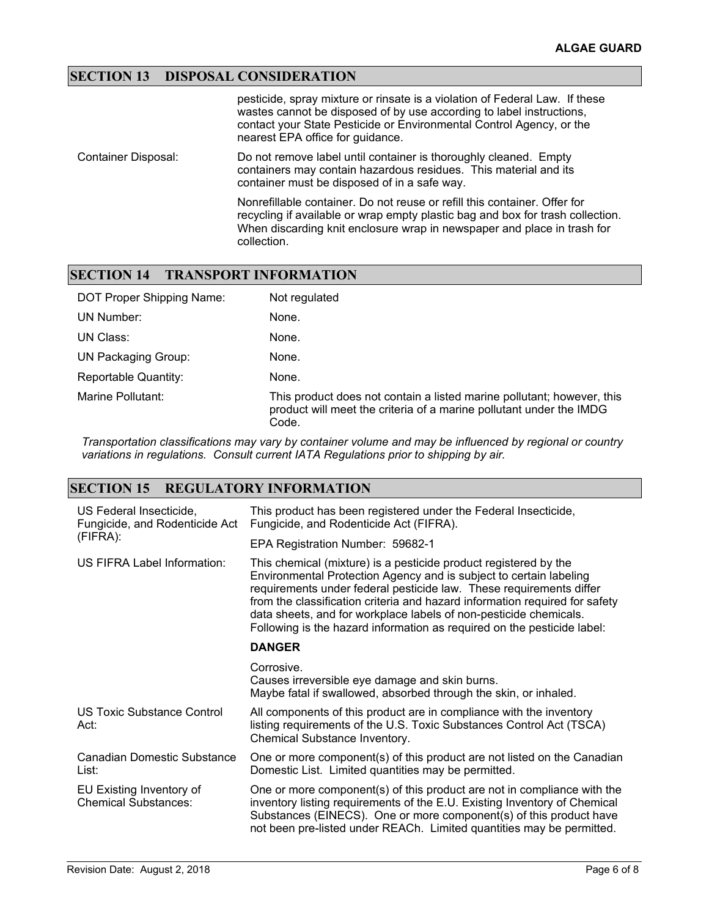### **SECTION 13 DISPOSAL CONSIDERATION**

|                     | pesticide, spray mixture or rinsate is a violation of Federal Law. If these<br>wastes cannot be disposed of by use according to label instructions,<br>contact your State Pesticide or Environmental Control Agency, or the<br>nearest EPA office for guidance. |
|---------------------|-----------------------------------------------------------------------------------------------------------------------------------------------------------------------------------------------------------------------------------------------------------------|
| Container Disposal: | Do not remove label until container is thoroughly cleaned. Empty<br>containers may contain hazardous residues. This material and its<br>container must be disposed of in a safe way.                                                                            |
|                     | Nonrefillable container. Do not reuse or refill this container. Offer for<br>recycling if available or wrap empty plastic bag and box for trash collection.<br>When discarding knit enclosure wrap in newspaper and place in trash for<br>collection.           |

### **SECTION 14 TRANSPORT INFORMATION**

| DOT Proper Shipping Name:  | Not regulated                                                                                                                                          |
|----------------------------|--------------------------------------------------------------------------------------------------------------------------------------------------------|
| UN Number:                 | None.                                                                                                                                                  |
| UN Class:                  | None.                                                                                                                                                  |
| <b>UN Packaging Group:</b> | None.                                                                                                                                                  |
| Reportable Quantity:       | None.                                                                                                                                                  |
| Marine Pollutant:          | This product does not contain a listed marine pollutant; however, this<br>product will meet the criteria of a marine pollutant under the IMDG<br>Code. |

*Transportation classifications may vary by container volume and may be influenced by regional or country variations in regulations. Consult current IATA Regulations prior to shipping by air.*

### **SECTION 15 REGULATORY INFORMATION**

| US Federal Insecticide,<br>Fungicide, and Rodenticide Act<br>(FIFRA): | This product has been registered under the Federal Insecticide,<br>Fungicide, and Rodenticide Act (FIFRA).                                                                                                                                                                                                                                                                                                                                   |  |
|-----------------------------------------------------------------------|----------------------------------------------------------------------------------------------------------------------------------------------------------------------------------------------------------------------------------------------------------------------------------------------------------------------------------------------------------------------------------------------------------------------------------------------|--|
|                                                                       | EPA Registration Number: 59682-1                                                                                                                                                                                                                                                                                                                                                                                                             |  |
| US FIFRA Label Information:                                           | This chemical (mixture) is a pesticide product registered by the<br>Environmental Protection Agency and is subject to certain labeling<br>requirements under federal pesticide law. These requirements differ<br>from the classification criteria and hazard information required for safety<br>data sheets, and for workplace labels of non-pesticide chemicals.<br>Following is the hazard information as required on the pesticide label: |  |
|                                                                       | <b>DANGER</b>                                                                                                                                                                                                                                                                                                                                                                                                                                |  |
|                                                                       | Corrosive.<br>Causes irreversible eye damage and skin burns.<br>Maybe fatal if swallowed, absorbed through the skin, or inhaled.                                                                                                                                                                                                                                                                                                             |  |
| US Toxic Substance Control<br>Act:                                    | All components of this product are in compliance with the inventory<br>listing requirements of the U.S. Toxic Substances Control Act (TSCA)<br>Chemical Substance Inventory.                                                                                                                                                                                                                                                                 |  |
| Canadian Domestic Substance<br>List:                                  | One or more component(s) of this product are not listed on the Canadian<br>Domestic List. Limited quantities may be permitted.                                                                                                                                                                                                                                                                                                               |  |
| EU Existing Inventory of<br><b>Chemical Substances:</b>               | One or more component(s) of this product are not in compliance with the<br>inventory listing requirements of the E.U. Existing Inventory of Chemical<br>Substances (EINECS). One or more component(s) of this product have<br>not been pre-listed under REACh. Limited quantities may be permitted.                                                                                                                                          |  |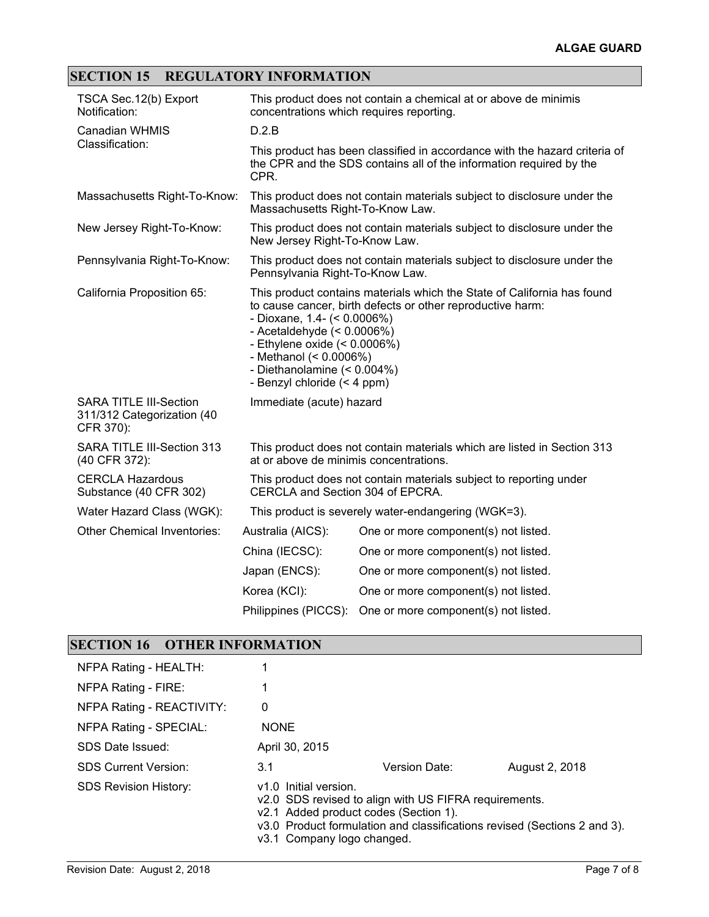# **SECTION 15 REGULATORY INFORMATION**

| TSCA Sec. 12(b) Export<br>Notification:                                  | This product does not contain a chemical at or above de minimis<br>concentrations which requires reporting.                                                                                                                                                                                                                         |                                                                         |  |
|--------------------------------------------------------------------------|-------------------------------------------------------------------------------------------------------------------------------------------------------------------------------------------------------------------------------------------------------------------------------------------------------------------------------------|-------------------------------------------------------------------------|--|
| <b>Canadian WHMIS</b><br>Classification:                                 | D.2.B                                                                                                                                                                                                                                                                                                                               |                                                                         |  |
|                                                                          | This product has been classified in accordance with the hazard criteria of<br>the CPR and the SDS contains all of the information required by the<br>CPR.                                                                                                                                                                           |                                                                         |  |
| Massachusetts Right-To-Know:                                             | This product does not contain materials subject to disclosure under the<br>Massachusetts Right-To-Know Law.                                                                                                                                                                                                                         |                                                                         |  |
| New Jersey Right-To-Know:                                                | This product does not contain materials subject to disclosure under the<br>New Jersey Right-To-Know Law.                                                                                                                                                                                                                            |                                                                         |  |
| Pennsylvania Right-To-Know:                                              | Pennsylvania Right-To-Know Law.                                                                                                                                                                                                                                                                                                     | This product does not contain materials subject to disclosure under the |  |
| California Proposition 65:                                               | This product contains materials which the State of California has found<br>to cause cancer, birth defects or other reproductive harm:<br>- Dioxane, 1.4- $($ < 0.0006%)<br>- Acetaldehyde $(< 0.0006\%)$<br>- Ethylene oxide $(< 0.0006\%)$<br>- Methanol (< 0.0006%)<br>- Diethanolamine (< 0.004%)<br>- Benzyl chloride (< 4 ppm) |                                                                         |  |
| <b>SARA TITLE III-Section</b><br>311/312 Categorization (40<br>CFR 370): | Immediate (acute) hazard                                                                                                                                                                                                                                                                                                            |                                                                         |  |
| SARA TITLE III-Section 313<br>(40 CFR 372):                              | This product does not contain materials which are listed in Section 313<br>at or above de minimis concentrations.                                                                                                                                                                                                                   |                                                                         |  |
| <b>CERCLA Hazardous</b><br>Substance (40 CFR 302)                        | This product does not contain materials subject to reporting under<br>CERCLA and Section 304 of EPCRA.                                                                                                                                                                                                                              |                                                                         |  |
| Water Hazard Class (WGK):                                                | This product is severely water-endangering (WGK=3).                                                                                                                                                                                                                                                                                 |                                                                         |  |
| <b>Other Chemical Inventories:</b>                                       | Australia (AICS):                                                                                                                                                                                                                                                                                                                   | One or more component(s) not listed.                                    |  |
|                                                                          | China (IECSC):                                                                                                                                                                                                                                                                                                                      | One or more component(s) not listed.                                    |  |
|                                                                          | Japan (ENCS):                                                                                                                                                                                                                                                                                                                       | One or more component(s) not listed.                                    |  |
|                                                                          | Korea (KCI):                                                                                                                                                                                                                                                                                                                        | One or more component(s) not listed.                                    |  |
|                                                                          | Philippines (PICCS):                                                                                                                                                                                                                                                                                                                | One or more component(s) not listed.                                    |  |

# **SECTION 16 OTHER INFORMATION**

| NFPA Rating - HEALTH:        |                                                                                              |                                                                                                                                   |                |
|------------------------------|----------------------------------------------------------------------------------------------|-----------------------------------------------------------------------------------------------------------------------------------|----------------|
| NFPA Rating - FIRE:          |                                                                                              |                                                                                                                                   |                |
| NFPA Rating - REACTIVITY:    | 0                                                                                            |                                                                                                                                   |                |
| NFPA Rating - SPECIAL:       | <b>NONE</b>                                                                                  |                                                                                                                                   |                |
| SDS Date Issued:             | April 30, 2015                                                                               |                                                                                                                                   |                |
| <b>SDS Current Version:</b>  | 3.1                                                                                          | Version Date:                                                                                                                     | August 2, 2018 |
| <b>SDS Revision History:</b> | v1.0 Initial version.<br>v2.1 Added product codes (Section 1).<br>v3.1 Company logo changed. | v2.0 SDS revised to align with US FIFRA requirements.<br>v3.0 Product formulation and classifications revised (Sections 2 and 3). |                |